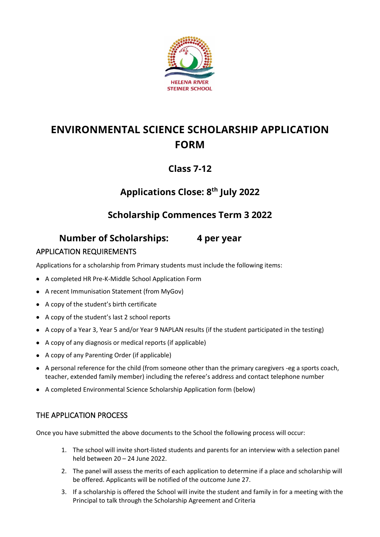

# **ENVIRONMENTAL SCIENCE SCHOLARSHIP APPLICATION FORM**

### **Class 7-12**

# **Applications Close: 8 th July 2022**

## **Scholarship Commences Term 3 2022**

### **Number of Scholarships: 4 per year**

#### APPLICATION REQUIREMENTS

Applications for a scholarship from Primary students must include the following items:

- A completed HR Pre-K-Middle School Application Form
- A recent Immunisation Statement (from MyGov)
- A copy of the student's birth certificate
- A copy of the student's last 2 school reports
- A copy of a Year 3, Year 5 and/or Year 9 NAPLAN results (if the student participated in the testing)
- A copy of any diagnosis or medical reports (if applicable)
- A copy of any Parenting Order (if applicable)
- A personal reference for the child (from someone other than the primary caregivers -eg a sports coach, teacher, extended family member) including the referee's address and contact telephone number
- A completed Environmental Science Scholarship Application form (below)

#### THE APPLICATION PROCESS

Once you have submitted the above documents to the School the following process will occur:

- 1. The school will invite short-listed students and parents for an interview with a selection panel held between 20 – 24 June 2022.
- 2. The panel will assess the merits of each application to determine if a place and scholarship will be offered. Applicants will be notified of the outcome June 27.
- 3. If a scholarship is offered the School will invite the student and family in for a meeting with the Principal to talk through the Scholarship Agreement and Criteria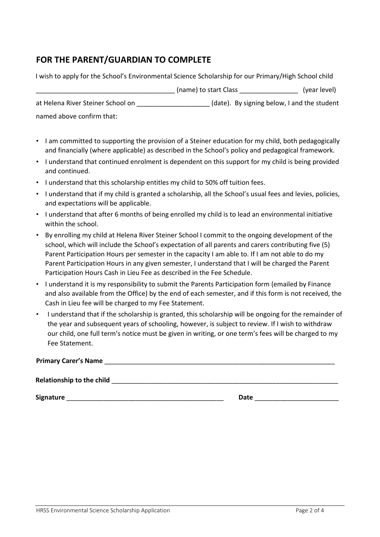### **FOR THE PARENT/GUARDIAN TO COMPLETE**

| I wish to apply for the School's Environmental Science Scholarship for our Primary/High School child |                       |                                             |
|------------------------------------------------------------------------------------------------------|-----------------------|---------------------------------------------|
|                                                                                                      | (name) to start Class | (year level)                                |
| at Helena River Steiner School on                                                                    |                       | (date). By signing below, I and the student |
| named above confirm that:                                                                            |                       |                                             |

- I am committed to supporting the provision of a Steiner education for my child, both pedagogically and financially (where applicable) as described in the School's policy and pedagogical framework.
- I understand that continued enrolment is dependent on this support for my child is being provided and continued.
- I understand that this scholarship entitles my child to 50% off tuition fees.
- I understand that if my child is granted a scholarship, all the School's usual fees and levies, policies, and expectations will be applicable.
- I understand that after 6 months of being enrolled my child is to lead an environmental initiative within the school.
- By enrolling my child at Helena River Steiner School I commit to the ongoing development of the school, which will include the School's expectation of all parents and carers contributing five (5) Parent Participation Hours per semester in the capacity I am able to. If I am not able to do my Parent Participation Hours in any given semester, I understand that I will be charged the Parent Participation Hours Cash in Lieu Fee as described in the Fee Schedule.
- I understand it is my responsibility to submit the Parents Participation form (emailed by Finance and also available from the Office) by the end of each semester, and if this form is not received, the Cash in Lieu fee will be charged to my Fee Statement.
- I understand that if the scholarship is granted, this scholarship will be ongoing for the remainder of the year and subsequent years of schooling, however, is subject to review. If I wish to withdraw our child, one full term's notice must be given in writing, or one term's fees will be charged to my Fee Statement.

| <b>Primary Carer's Name</b>      |  |
|----------------------------------|--|
| <b>Relationship to the child</b> |  |

**Signature Latter and Signature Latter and Signature Date Date Latter and Signature Latter and Signature Latter and Signature Latter and Signature Latter and Signature Latter and Signature Latter and**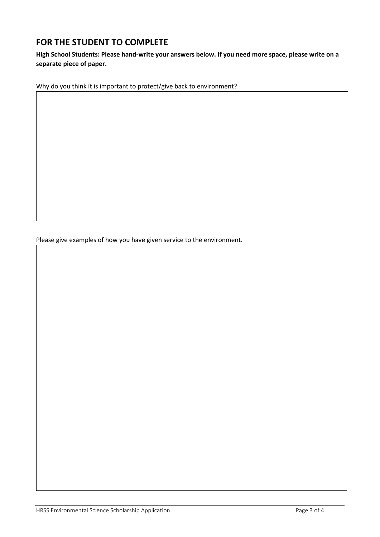#### **FOR THE STUDENT TO COMPLETE**

**High School Students: Please hand-write your answers below. If you need more space, please write on a separate piece of paper.**

Why do you think it is important to protect/give back to environment?

Please give examples of how you have given service to the environment.